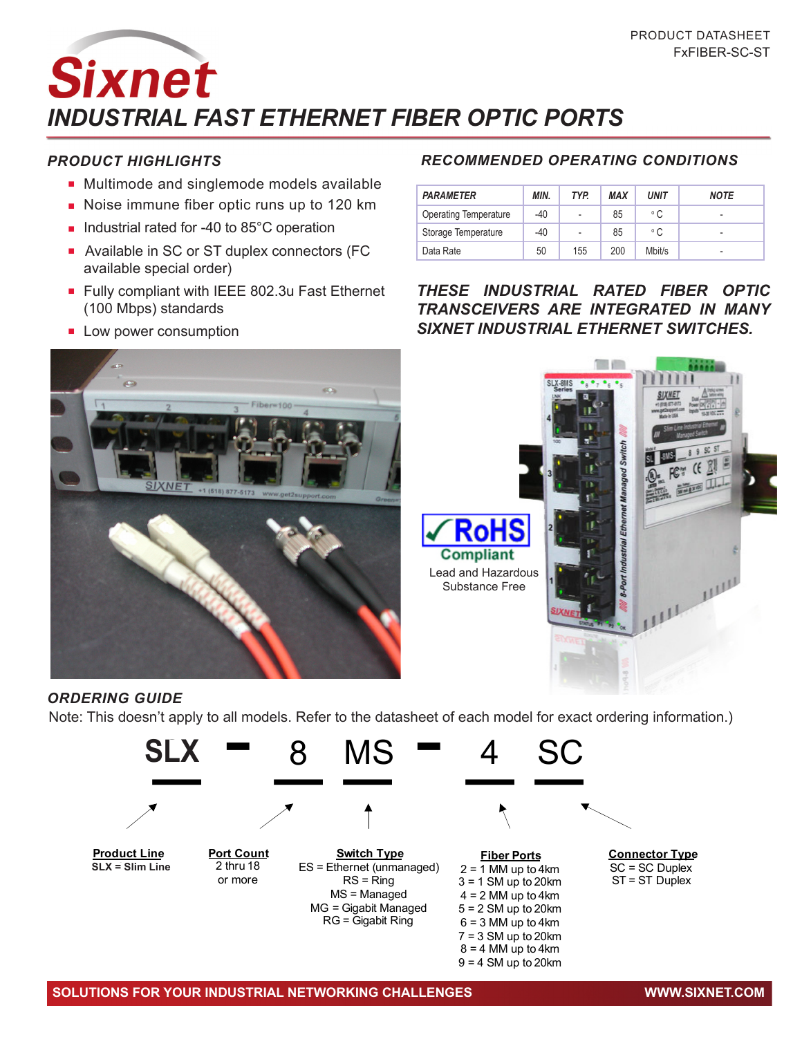**Sixnet** *iNDUSTRIAL Fast Ethernet Fiber Optic Ports*

## *PRODUCT HIGHLIGHTS*

- Multimode and singlemode models available
- **n** Noise immune fiber optic runs up to 120 km
- Industrial rated for -40 to 85°C operation
- Available in SC or ST duplex connectors (FC available special order)
- Fully compliant with IEEE 802.3u Fast Ethernet (100 Mbps) standards
- **E** Low power consumption



## *RECOMMENDED OPERATING CONDITIONS*

| <b>PARAMETER</b>             | MIN. | TYP.                     | <b>MAX</b> | UNIT         | <b>NOTE</b>              |
|------------------------------|------|--------------------------|------------|--------------|--------------------------|
| <b>Operating Temperature</b> | -40  | $\overline{\phantom{0}}$ | 85         | ° C          | $\overline{\phantom{a}}$ |
| Storage Temperature          | -40  | $\overline{\phantom{0}}$ | 85         | $^{\circ}$ C | $\overline{\phantom{0}}$ |
| Data Rate                    | 50   | 155                      | 200        | Mbit/s       | $\overline{\phantom{0}}$ |

*These industrial rated fiber optic transceivers are integrated in many SIXNET Industrial Ethernet switches.*



## *ORDERING GUIDE*



 $8 = 4$  MM up to 4 km  $9 = 4$  SM up to 20 km